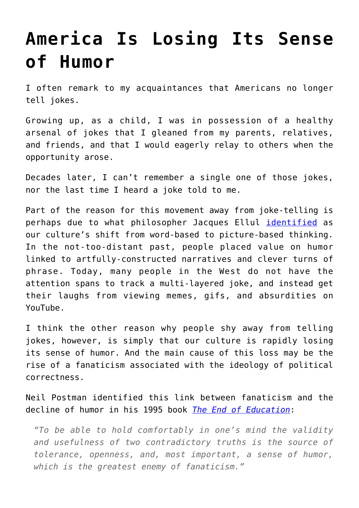## **[America Is Losing Its Sense](https://intellectualtakeout.org/2017/05/america-is-losing-its-sense-of-humor/) [of Humor](https://intellectualtakeout.org/2017/05/america-is-losing-its-sense-of-humor/)**

I often remark to my acquaintances that Americans no longer tell jokes.

Growing up, as a child, I was in possession of a healthy arsenal of jokes that I gleaned from my parents, relatives, and friends, and that I would eagerly relay to others when the opportunity arose.

Decades later, I can't remember a single one of those jokes, nor the last time I heard a joke told to me.

Part of the reason for this movement away from joke-telling is perhaps due to what philosopher Jacques Ellul [identified](https://www.intellectualtakeout.org/blog/most-people-now-think-pictures) as our culture's shift from word-based to picture-based thinking. In the not-too-distant past, people placed value on humor linked to artfully-constructed narratives and clever turns of phrase. Today, many people in the West do not have the attention spans to track a multi-layered joke, and instead get their laughs from viewing memes, gifs, and absurdities on YouTube.

I think the other reason why people shy away from telling jokes, however, is simply that our culture is rapidly losing its sense of humor. And the main cause of this loss may be the rise of a fanaticism associated with the ideology of political correctness.

Neil Postman identified this link between fanaticism and the decline of humor in his 1995 book *[The End of Education](http://amzn.to/2riayR9)*:

*"To be able to hold comfortably in one's mind the validity and usefulness of two contradictory truths is the source of tolerance, openness, and, most important, a sense of humor, which is the greatest enemy of fanaticism."*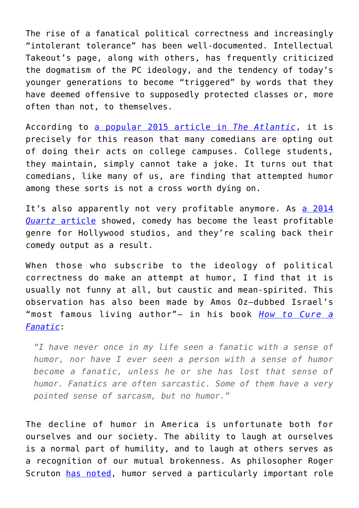The rise of a fanatical political correctness and increasingly "intolerant tolerance" has been well-documented. Intellectual Takeout's page, along with others, has frequently criticized the dogmatism of the PC ideology, and the tendency of today's younger generations to become "triggered" by words that they have deemed offensive to supposedly protected classes or, more often than not, to themselves.

According to [a popular 2015 article in](https://www.theatlantic.com/magazine/archive/2015/09/thats-not-funny/399335/) *[The Atlantic](https://www.theatlantic.com/magazine/archive/2015/09/thats-not-funny/399335/)*, it is precisely for this reason that many comedians are opting out of doing their acts on college campuses. College students, they maintain, simply cannot take a joke. It turns out that comedians, like many of us, are finding that attempted humor among these sorts is not a cross worth dying on.

It's also apparently not very profitable anymore. As [a 2014](https://qz.com/229648/the-completely-serious-decline-of-the-hollywood-comedy/) *[Quartz](https://qz.com/229648/the-completely-serious-decline-of-the-hollywood-comedy/)* [article](https://qz.com/229648/the-completely-serious-decline-of-the-hollywood-comedy/) showed, comedy has become the least profitable genre for Hollywood studios, and they're scaling back their comedy output as a result.

When those who subscribe to the ideology of political correctness do make an attempt at humor, I find that it is usually not funny at all, but caustic and mean-spirited. This observation has also been made by Amos Oz—dubbed Israel's "most famous living author"— in his book *[How to Cure a](http://amzn.to/2qgXTKh) [Fanatic](http://amzn.to/2qgXTKh)*:

*"I have never once in my life seen a fanatic with a sense of humor, nor have I ever seen a person with a sense of humor become a fanatic, unless he or she has lost that sense of humor. Fanatics are often sarcastic. Some of them have a very pointed sense of sarcasm, but no humor."*

The decline of humor in America is unfortunate both for ourselves and our society. The ability to laugh at ourselves is a normal part of humility, and to laugh at others serves as a recognition of our mutual brokenness. As philosopher Roger Scruton [has noted,](https://spectator.org/45088_decline-laughter/) humor served a particularly important role